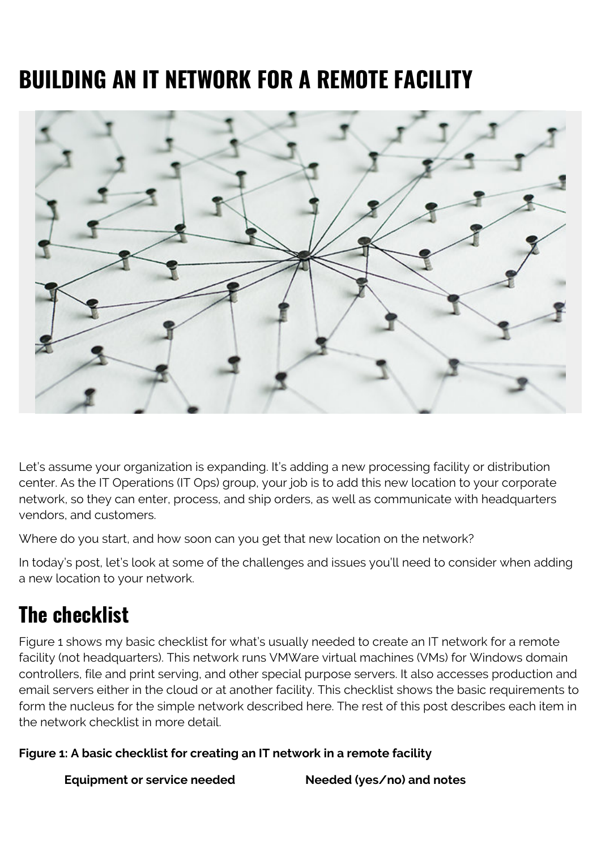# **BUILDING AN IT NETWORK FOR A REMOTE FACILITY**



Let's assume your organization is expanding. It's adding a new processing facility or distribution center. As the IT Operations (IT Ops) group, your job is to add this new location to your corporate network, so they can enter, process, and ship orders, as well as communicate with headquarters vendors, and customers.

Where do you start, and how soon can you get that new location on the network?

In today's post, let's look at some of the challenges and issues you'll need to consider when adding a new location to your network.

### **The checklist**

Figure 1 shows my basic checklist for what's usually needed to create an IT network for a remote facility (not headquarters). This network runs VMWare virtual machines (VMs) for Windows domain controllers, file and print serving, and other special purpose servers. It also accesses production and email servers either in the cloud or at another facility. This checklist shows the basic requirements to form the nucleus for the simple network described here. The rest of this post describes each item in the network checklist in more detail.

#### **Figure 1: A basic checklist for creating an IT network in a remote facility**

**Equipment or service needed Needed (yes/no) and notes**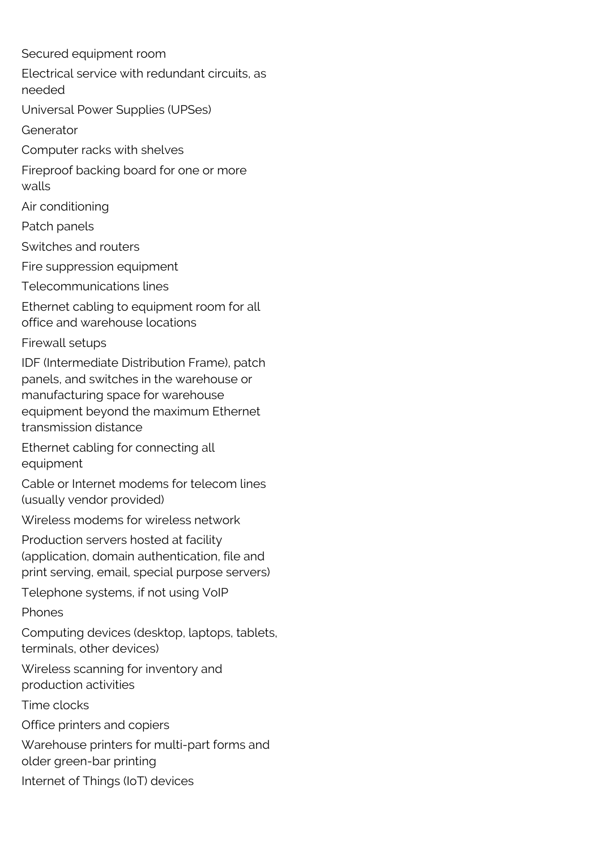Secured equipment room Electrical service with redundant circuits, as needed Universal Power Supplies (UPSes) Generator Computer racks with shelves Fireproof backing board for one or more walls Air conditioning Patch panels Switches and routers Fire suppression equipment Telecommunications lines Ethernet cabling to equipment room for all office and warehouse locations Firewall setups IDF (Intermediate Distribution Frame), patch panels, and switches in the warehouse or manufacturing space for warehouse equipment beyond the maximum Ethernet transmission distance Ethernet cabling for connecting all equipment Cable or Internet modems for telecom lines (usually vendor provided) Wireless modems for wireless network Production servers hosted at facility (application, domain authentication, file and print serving, email, special purpose servers) Telephone systems, if not using VoIP Phones Computing devices (desktop, laptops, tablets, terminals, other devices) Wireless scanning for inventory and production activities Time clocks Office printers and copiers Warehouse printers for multi-part forms and older green-bar printing Internet of Things (IoT) devices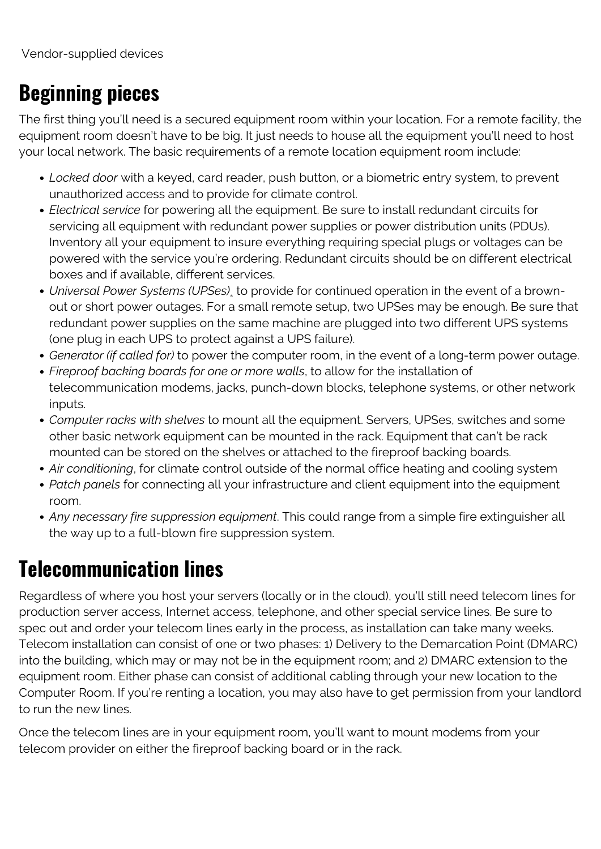# **Beginning pieces**

The first thing you'll need is a secured equipment room within your location. For a remote facility, the equipment room doesn't have to be big. It just needs to house all the equipment you'll need to host your local network. The basic requirements of a remote location equipment room include:

- *Locked door* with a keyed, card reader, push button, or a biometric entry system, to prevent unauthorized access and to provide for climate control.
- *Electrical service* for powering all the equipment. Be sure to install redundant circuits for servicing all equipment with redundant power supplies or power distribution units (PDUs). Inventory all your equipment to insure everything requiring special plugs or voltages can be powered with the service you're ordering. Redundant circuits should be on different electrical boxes and if available, different services.
- *Universal Power Systems (UPSes)*¸ to provide for continued operation in the event of a brownout or short power outages. For a small remote setup, two UPSes may be enough. Be sure that redundant power supplies on the same machine are plugged into two different UPS systems (one plug in each UPS to protect against a UPS failure).
- *Generator (if called for)* to power the computer room, in the event of a long-term power outage.
- *Fireproof backing boards for one or more walls*, to allow for the installation of telecommunication modems, jacks, punch-down blocks, telephone systems, or other network inputs.
- *Computer racks with shelves* to mount all the equipment. Servers, UPSes, switches and some other basic network equipment can be mounted in the rack. Equipment that can't be rack mounted can be stored on the shelves or attached to the fireproof backing boards.
- *Air conditioning*, for climate control outside of the normal office heating and cooling system
- *Patch panels* for connecting all your infrastructure and client equipment into the equipment room.
- *Any necessary fire suppression equipment*. This could range from a simple fire extinguisher all the way up to a full-blown fire suppression system.

### **Telecommunication lines**

Regardless of where you host your servers (locally or in the cloud), you'll still need telecom lines for production server access, Internet access, telephone, and other special service lines. Be sure to spec out and order your telecom lines early in the process, as installation can take many weeks. Telecom installation can consist of one or two phases: 1) Delivery to the Demarcation Point (DMARC) into the building, which may or may not be in the equipment room; and 2) DMARC extension to the equipment room. Either phase can consist of additional cabling through your new location to the Computer Room. If you're renting a location, you may also have to get permission from your landlord to run the new lines.

Once the telecom lines are in your equipment room, you'll want to mount modems from your telecom provider on either the fireproof backing board or in the rack.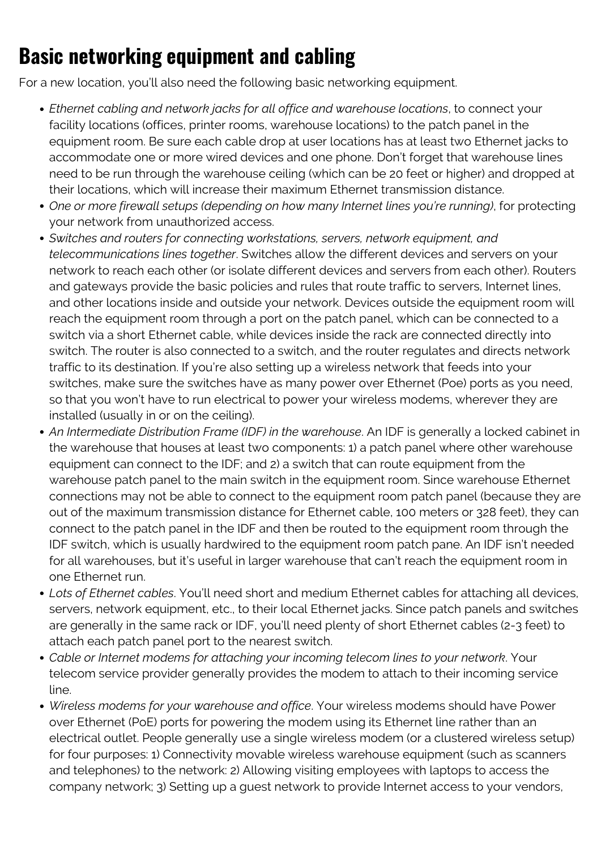# **Basic networking equipment and cabling**

For a new location, you'll also need the following basic networking equipment.

- *Ethernet cabling and network jacks for all office and warehouse locations*, to connect your facility locations (offices, printer rooms, warehouse locations) to the patch panel in the equipment room. Be sure each cable drop at user locations has at least two Ethernet jacks to accommodate one or more wired devices and one phone. Don't forget that warehouse lines need to be run through the warehouse ceiling (which can be 20 feet or higher) and dropped at their locations, which will increase their maximum Ethernet transmission distance.
- *One or more firewall setups (depending on how many Internet lines you're running)*, for protecting your network from unauthorized access.
- *Switches and routers for connecting workstations, servers, network equipment, and telecommunications lines together*. Switches allow the different devices and servers on your network to reach each other (or isolate different devices and servers from each other). Routers and gateways provide the basic policies and rules that route traffic to servers, Internet lines, and other locations inside and outside your network. Devices outside the equipment room will reach the equipment room through a port on the patch panel, which can be connected to a switch via a short Ethernet cable, while devices inside the rack are connected directly into switch. The router is also connected to a switch, and the router regulates and directs network traffic to its destination. If you're also setting up a wireless network that feeds into your switches, make sure the switches have as many power over Ethernet (Poe) ports as you need, so that you won't have to run electrical to power your wireless modems, wherever they are installed (usually in or on the ceiling).
- *An Intermediate Distribution Frame (IDF) in the warehouse*. An IDF is generally a locked cabinet in the warehouse that houses at least two components: 1) a patch panel where other warehouse equipment can connect to the IDF; and 2) a switch that can route equipment from the warehouse patch panel to the main switch in the equipment room. Since warehouse Ethernet connections may not be able to connect to the equipment room patch panel (because they are out of the maximum transmission distance for Ethernet cable, 100 meters or 328 feet), they can connect to the patch panel in the IDF and then be routed to the equipment room through the IDF switch, which is usually hardwired to the equipment room patch pane. An IDF isn't needed for all warehouses, but it's useful in larger warehouse that can't reach the equipment room in one Ethernet run.
- *Lots of Ethernet cables*. You'll need short and medium Ethernet cables for attaching all devices, servers, network equipment, etc., to their local Ethernet jacks. Since patch panels and switches are generally in the same rack or IDF, you'll need plenty of short Ethernet cables (2-3 feet) to attach each patch panel port to the nearest switch.
- *Cable or Internet modems for attaching your incoming telecom lines to your network*. Your telecom service provider generally provides the modem to attach to their incoming service line.
- *Wireless modems for your warehouse and office*. Your wireless modems should have Power over Ethernet (PoE) ports for powering the modem using its Ethernet line rather than an electrical outlet. People generally use a single wireless modem (or a clustered wireless setup) for four purposes: 1) Connectivity movable wireless warehouse equipment (such as scanners and telephones) to the network: 2) Allowing visiting employees with laptops to access the company network; 3) Setting up a guest network to provide Internet access to your vendors,